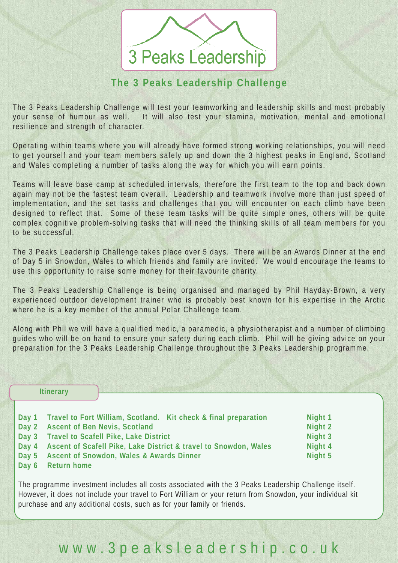## 3 Peaks Leadership

### **The 3 Peaks Leadership Challenge**

The 3 Peaks Leadership Challenge will test your teamworking and leadership skills and most probably your sense of humour as well. It will also test your stamina, motivation, mental and emotional resilience and strength of character.

Operating within teams where you will already have formed strong working relationships, you will need to get yourself and your team members safely up and down the 3 highest peaks in England, Scotland and Wales completing a number of tasks along the way for which you will earn points.

Teams will leave base camp at scheduled intervals, therefore the first team to the top and back down again may not be the fastest team overall. Leadership and teamwork involve more than just speed of implementation, and the set tasks and challenges that you will encounter on each climb have been designed to reflect that. Some of these team tasks will be quite simple ones, others will be quite complex cognitive problem-solving tasks that will need the thinking skills of all team members for you to be successful.

The 3 Peaks Leadership Challenge takes place over 5 days. There will be an Awards Dinner at the end of Day 5 in Snowdon, Wales to which friends and family are invited. We would encourage the teams to use this opportunity to raise some money for their favourite charity.

The 3 Peaks Leadership Challenge is being organised and managed by Phil Hayday-Brown, a very experienced outdoor development trainer who is probably best known for his expertise in the Arctic where he is a key member of the annual Polar Challenge team.

Along with Phil we will have a qualified medic, a paramedic, a physiotherapist and a number of climbing guides who will be on hand to ensure your safety during each climb. Phil will be giving advice on your preparation for the 3 Peaks Leadership Challenge throughout the 3 Peaks Leadership programme.

| <b>Itinerary</b> |               |                                                                  |         |
|------------------|---------------|------------------------------------------------------------------|---------|
|                  | Day 1         | Travel to Fort William, Scotland. Kit check & final preparation  | Night 1 |
|                  | $\vert$ Day 2 | <b>Ascent of Ben Nevis, Scotland</b>                             | Night 2 |
|                  | $\vert$ Day 3 | <b>Travel to Scafell Pike, Lake District</b>                     | Night 3 |
|                  | $\vert$ Day 4 | Ascent of Scafell Pike, Lake District & travel to Snowdon, Wales | Night 4 |
|                  | $\vert$ Day 5 | <b>Ascent of Snowdon, Wales &amp; Awards Dinner</b>              | Night 5 |

**Day 6 Return home**

The programme investment includes all costs associated with the 3 Peaks Leadership Challenge itself. However, it does not include your travel to Fort William or your return from Snowdon, your individual kit purchase and any additional costs, such as for your family or friends.

## www.3peaksleadership.co.uk